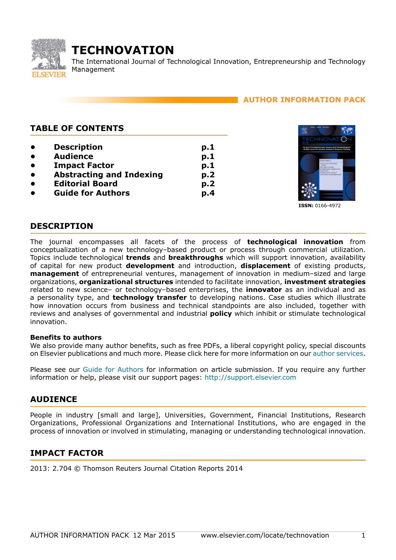

# **TECHNOVATION**

The International Journal of Technological Innovation, Entrepreneurship and Technology Management

> **p.1 p.1 p.1 p.2 p.2 p.4**

# **AUTHOR INFORMATION PACK**

# **TABLE OF CONTENTS**

- **[Description](#page-0-0) • [Audience](#page-0-1)**
- **[Impact Factor](#page-0-2)**
- **[Abstracting and Indexing](#page-1-0)**
- **[Editorial Board](#page-1-1)**
- 
- **[Guide for Authors](#page-3-0)**



**ISSN:** 0166-4972

# <span id="page-0-0"></span>**DESCRIPTION**

The journal encompasses all facets of the process of **technological innovation** from conceptualization of a new technology–based product or process through commercial utilization. Topics include technological **trends** and **breakthroughs** which will support innovation, availability of capital for new product **development** and introduction, **displacement** of existing products, **management** of entrepreneurial ventures, management of innovation in medium–sized and large organizations, **organizational structures** intended to facilitate innovation, **investment strategies** related to new science– or technology–based enterprises, the **innovator** as an individual and as a personality type, and **technology transfer** to developing nations. Case studies which illustrate how innovation occurs from business and technical standpoints are also included, together with reviews and analyses of governmental and industrial **policy** which inhibit or stimulate technological innovation.

# **Benefits to authors**

We also provide many author benefits, such as free PDFs, a liberal copyright policy, special discounts on Elsevier publications and much more. Please click here for more information on our [author services](http://www.elsevier.com/wps/find/authorsview.authors/authorservices).

Please see our [Guide for Authors](http://www.elsevier.com/wps/find/journaldescription.cws_home/422925/authorinstructions) for information on article submission. If you require any further information or help, please visit our support pages: http://support.elsevier.com

# <span id="page-0-1"></span>**AUDIENCE**

People in industry [small and large], Universities, Government, Financial Institutions, Research Organizations, Professional Organizations and International Institutions, who are engaged in the process of innovation or involved in stimulating, managing or understanding technological innovation.

# <span id="page-0-2"></span>**IMPACT FACTOR**

2013: 2.704 © Thomson Reuters Journal Citation Reports 2014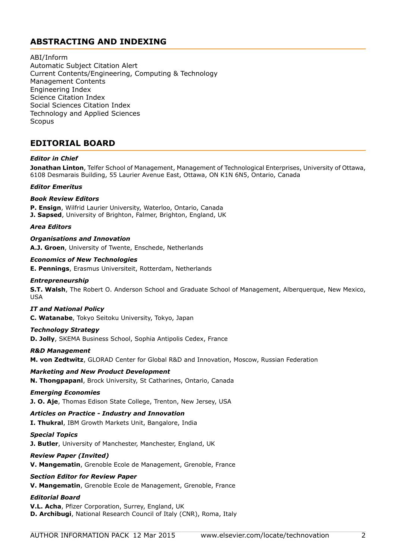# <span id="page-1-0"></span>**ABSTRACTING AND INDEXING**

ABI/Inform Automatic Subject Citation Alert Current Contents/Engineering, Computing & Technology Management Contents Engineering Index Science Citation Index Social Sciences Citation Index Technology and Applied Sciences **Scopus** 

# <span id="page-1-1"></span>**EDITORIAL BOARD**

#### *Editor in Chief*

**Jonathan Linton**, Telfer School of Management, Management of Technological Enterprises, University of Ottawa, 6108 Desmarais Building, 55 Laurier Avenue East, Ottawa, ON K1N 6N5, Ontario, Canada

#### *Editor Emeritus*

#### *Book Review Editors*

**P. Ensign**, Wilfrid Laurier University, Waterloo, Ontario, Canada

**J. Sapsed**, University of Brighton, Falmer, Brighton, England, UK

*Area Editors*

#### *Organisations and Innovation*

**A.J. Groen**, University of Twente, Enschede, Netherlands

#### *Economics of New Technologies*

**E. Pennings**, Erasmus Universiteit, Rotterdam, Netherlands

#### *Entrepreneurship*

**S.T. Walsh**, The Robert O. Anderson School and Graduate School of Management, Alberquerque, New Mexico, USA

#### *IT and National Policy*

**C. Watanabe**, Tokyo Seitoku University, Tokyo, Japan

#### *Technology Strategy*

**D. Jolly**, SKEMA Business School, Sophia Antipolis Cedex, France

#### *R&D Management*

**M. von Zedtwitz**, GLORAD Center for Global R&D and Innovation, Moscow, Russian Federation

#### *Marketing and New Product Development*

**N. Thongpapanl**, Brock University, St Catharines, Ontario, Canada

#### *Emerging Economies*

**J. O. Aje**, Thomas Edison State College, Trenton, New Jersey, USA

#### *Articles on Practice - Industry and Innovation*

**I. Thukral**, IBM Growth Markets Unit, Bangalore, India

#### *Special Topics*

**J. Butler**, University of Manchester, Manchester, England, UK

#### *Review Paper (Invited)*

**V. Mangematin**, Grenoble Ecole de Management, Grenoble, France

#### *Section Editor for Review Paper*

**V. Mangematin**, Grenoble Ecole de Management, Grenoble, France

#### *Editorial Board*

**V.L. Acha**, Pfizer Corporation, Surrey, England, UK **D. Archibugi**, National Research Council of Italy (CNR), Roma, Italy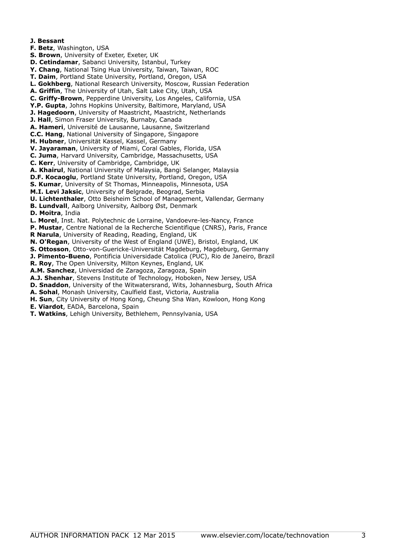#### **J. Bessant**

**F. Betz**, Washington, USA

**S. Brown**, University of Exeter, Exeter, UK

**D. Cetindamar**, Sabanci University, Istanbul, Turkey

**Y. Chang**, National Tsing Hua University, Taiwan, Taiwan, ROC

**T. Daim**, Portland State University, Portland, Oregon, USA

**L. Gokhberg**, National Research University, Moscow, Russian Federation

**A. Griffin**, The University of Utah, Salt Lake City, Utah, USA

**C. Griffy-Brown**, Pepperdine University, Los Angeles, California, USA

**Y.P. Gupta**, Johns Hopkins University, Baltimore, Maryland, USA

**J. Hagedoorn**, University of Maastricht, Maastricht, Netherlands

**J. Hall**, Simon Fraser University, Burnaby, Canada

**A. Hameri**, Université de Lausanne, Lausanne, Switzerland

**C.C. Hang**, National University of Singapore, Singapore

**H. Hubner**, Universität Kassel, Kassel, Germany

**V. Jayaraman**, University of Miami, Coral Gables, Florida, USA

**C. Juma**, Harvard University, Cambridge, Massachusetts, USA

**C. Kerr**, University of Cambridge, Cambridge, UK

**A. Khairul**, National University of Malaysia, Bangi Selanger, Malaysia

**D.F. Kocaoglu**, Portland State University, Portland, Oregon, USA

**S. Kumar**, University of St Thomas, Minneapolis, Minnesota, USA

**M.I. Levi Jaksic**, University of Belgrade, Beograd, Serbia

**U. Lichtenthaler**, Otto Beisheim School of Management, Vallendar, Germany

**B. Lundvall**, Aalborg University, Aalborg Øst, Denmark

**D. Moitra**, India

**L. Morel**, Inst. Nat. Polytechnic de Lorraine, Vandoevre-les-Nancy, France

**P. Mustar**, Centre National de la Recherche Scientifique (CNRS), Paris, France

**R Narula**, University of Reading, Reading, England, UK

**N. O'Regan**, University of the West of England (UWE), Bristol, England, UK

**S. Ottosson**, Otto-von-Guericke-Universität Magdeburg, Magdeburg, Germany

**J. Pimento-Bueno**, Pontificia Universidade Catolica (PUC), Rio de Janeiro, Brazil

**R. Roy**, The Open University, Milton Keynes, England, UK

**A.M. Sanchez**, Universidad de Zaragoza, Zaragoza, Spain

**A.J. Shenhar**, Stevens Institute of Technology, Hoboken, New Jersey, USA

**D. Snaddon**, University of the Witwatersrand, Wits, Johannesburg, South Africa

**A. Sohal**, Monash University, Caulfield East, Victoria, Australia

**H. Sun**, City University of Hong Kong, Cheung Sha Wan, Kowloon, Hong Kong

**E. Viardot**, EADA, Barcelona, Spain

**T. Watkins**, Lehigh University, Bethlehem, Pennsylvania, USA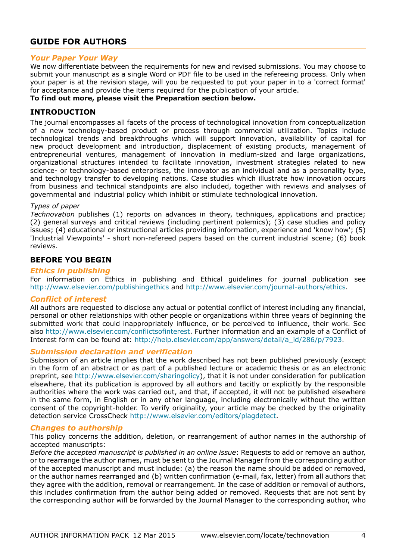# <span id="page-3-0"></span>**GUIDE FOR AUTHORS**

# *Your Paper Your Way*

We now differentiate between the requirements for new and revised submissions. You may choose to submit your manuscript as a single Word or PDF file to be used in the refereeing process. Only when your paper is at the revision stage, will you be requested to put your paper in to a 'correct format' for acceptance and provide the items required for the publication of your article.

### **To find out more, please visit the Preparation section below.**

# **INTRODUCTION**

The journal encompasses all facets of the process of technological innovation from conceptualization of a new technology-based product or process through commercial utilization. Topics include technological trends and breakthroughs which will support innovation, availability of capital for new product development and introduction, displacement of existing products, management of entrepreneurial ventures, management of innovation in medium-sized and large organizations, organizational structures intended to facilitate innovation, investment strategies related to new science- or technology-based enterprises, the innovator as an individual and as a personality type, and technology transfer to developing nations. Case studies which illustrate how innovation occurs from business and technical standpoints are also included, together with reviews and analyses of governmental and industrial policy which inhibit or stimulate technological innovation.

# *Types of paper*

*Technovation* publishes (1) reports on advances in theory, techniques, applications and practice; (2) general surveys and critical reviews (including pertinent polemics); (3) case studies and policy issues; (4) educational or instructional articles providing information, experience and 'know how'; (5) 'Industrial Viewpoints' - short non-refereed papers based on the current industrial scene; (6) book reviews.

# **BEFORE YOU BEGIN**

# *Ethics in publishing*

For information on Ethics in publishing and Ethical guidelines for journal publication see http://www.elsevier.com/publishingethics and http://www.elsevier.com/journal-authors/ethics.

#### *Conflict of interest*

All authors are requested to disclose any actual or potential conflict of interest including any financial, personal or other relationships with other people or organizations within three years of beginning the submitted work that could inappropriately influence, or be perceived to influence, their work. See also http://www.elsevier.com/conflictsofinterest. Further information and an example of a Conflict of Interest form can be found at: http://help.elsevier.com/app/answers/detail/a\_id/286/p/7923.

#### *Submission declaration and verification*

Submission of an article implies that the work described has not been published previously (except in the form of an abstract or as part of a published lecture or academic thesis or as an electronic preprint, see http://www.elsevier.com/sharingolicy), that it is not under consideration for publication elsewhere, that its publication is approved by all authors and tacitly or explicitly by the responsible authorities where the work was carried out, and that, if accepted, it will not be published elsewhere in the same form, in English or in any other language, including electronically without the written consent of the copyright-holder. To verify originality, your article may be checked by the originality detection service CrossCheck http://www.elsevier.com/editors/plagdetect.

#### *Changes to authorship*

This policy concerns the addition, deletion, or rearrangement of author names in the authorship of accepted manuscripts:

*Before the accepted manuscript is published in an online issue*: Requests to add or remove an author, or to rearrange the author names, must be sent to the Journal Manager from the corresponding author of the accepted manuscript and must include: (a) the reason the name should be added or removed, or the author names rearranged and (b) written confirmation (e-mail, fax, letter) from all authors that they agree with the addition, removal or rearrangement. In the case of addition or removal of authors, this includes confirmation from the author being added or removed. Requests that are not sent by the corresponding author will be forwarded by the Journal Manager to the corresponding author, who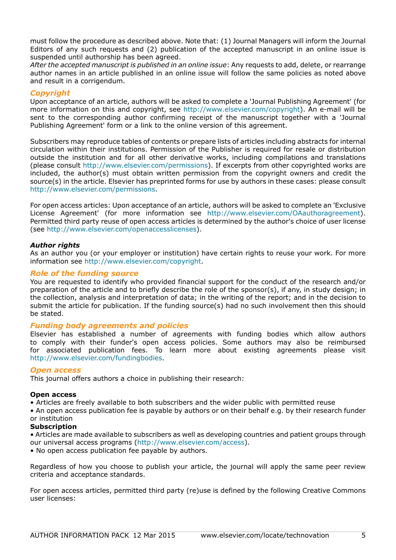must follow the procedure as described above. Note that: (1) Journal Managers will inform the Journal Editors of any such requests and (2) publication of the accepted manuscript in an online issue is suspended until authorship has been agreed.

*After the accepted manuscript is published in an online issue*: Any requests to add, delete, or rearrange author names in an article published in an online issue will follow the same policies as noted above and result in a corrigendum.

# *Copyright*

Upon acceptance of an article, authors will be asked to complete a 'Journal Publishing Agreement' (for more information on this and copyright, see http://www.elsevier.com/copyright). An e-mail will be sent to the corresponding author confirming receipt of the manuscript together with a 'Journal Publishing Agreement' form or a link to the online version of this agreement.

Subscribers may reproduce tables of contents or prepare lists of articles including abstracts for internal circulation within their institutions. Permission of the Publisher is required for resale or distribution outside the institution and for all other derivative works, including compilations and translations (please consult http://www.elsevier.com/permissions). If excerpts from other copyrighted works are included, the author(s) must obtain written permission from the copyright owners and credit the source(s) in the article. Elsevier has preprinted forms for use by authors in these cases: please consult http://www.elsevier.com/permissions.

For open access articles: Upon acceptance of an article, authors will be asked to complete an 'Exclusive License Agreement' (for more information see http://www.elsevier.com/OAauthoragreement). Permitted third party reuse of open access articles is determined by the author's choice of user license (see http://www.elsevier.com/openaccesslicenses).

# *Author rights*

As an author you (or your employer or institution) have certain rights to reuse your work. For more information see http://www.elsevier.com/copyright.

# *Role of the funding source*

You are requested to identify who provided financial support for the conduct of the research and/or preparation of the article and to briefly describe the role of the sponsor(s), if any, in study design; in the collection, analysis and interpretation of data; in the writing of the report; and in the decision to submit the article for publication. If the funding source(s) had no such involvement then this should be stated.

# *Funding body agreements and policies*

Elsevier has established a number of agreements with funding bodies which allow authors to comply with their funder's open access policies. Some authors may also be reimbursed for associated publication fees. To learn more about existing agreements please visit http://www.elsevier.com/fundingbodies.

# *Open access*

This journal offers authors a choice in publishing their research:

#### **Open access**

• Articles are freely available to both subscribers and the wider public with permitted reuse

• An open access publication fee is payable by authors or on their behalf e.g. by their research funder or institution

### **Subscription**

• Articles are made available to subscribers as well as developing countries and patient groups through our universal access programs (http://www.elsevier.com/access).

• No open access publication fee payable by authors.

Regardless of how you choose to publish your article, the journal will apply the same peer review criteria and acceptance standards.

For open access articles, permitted third party (re)use is defined by the following Creative Commons user licenses: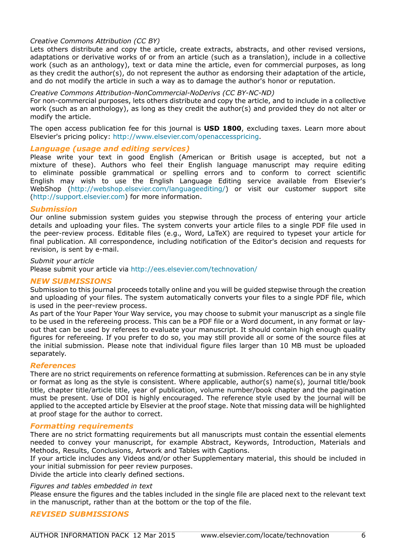# *Creative Commons Attribution (CC BY)*

Lets others distribute and copy the article, create extracts, abstracts, and other revised versions, adaptations or derivative works of or from an article (such as a translation), include in a collective work (such as an anthology), text or data mine the article, even for commercial purposes, as long as they credit the author(s), do not represent the author as endorsing their adaptation of the article, and do not modify the article in such a way as to damage the author's honor or reputation.

#### *Creative Commons Attribution-NonCommercial-NoDerivs (CC BY-NC-ND)*

For non-commercial purposes, lets others distribute and copy the article, and to include in a collective work (such as an anthology), as long as they credit the author(s) and provided they do not alter or modify the article.

The open access publication fee for this journal is **USD 1800**, excluding taxes. Learn more about Elsevier's pricing policy: http://www.elsevier.com/openaccesspricing.

#### *Language (usage and editing services)*

Please write your text in good English (American or British usage is accepted, but not a mixture of these). Authors who feel their English language manuscript may require editing to eliminate possible grammatical or spelling errors and to conform to correct scientific English may wish to use the English Language Editing service available from Elsevier's WebShop (http://webshop.elsevier.com/languageediting/) or visit our customer support site (http://support.elsevier.com) for more information.

#### *Submission*

Our online submission system guides you stepwise through the process of entering your article details and uploading your files. The system converts your article files to a single PDF file used in the peer-review process. Editable files (e.g., Word, LaTeX) are required to typeset your article for final publication. All correspondence, including notification of the Editor's decision and requests for revision, is sent by e-mail.

*Submit your article*

Please submit your article via http://ees.elsevier.com/technovation/

#### *NEW SUBMISSIONS*

Submission to this journal proceeds totally online and you will be guided stepwise through the creation and uploading of your files. The system automatically converts your files to a single PDF file, which is used in the peer-review process.

As part of the Your Paper Your Way service, you may choose to submit your manuscript as a single file to be used in the refereeing process. This can be a PDF file or a Word document, in any format or layout that can be used by referees to evaluate your manuscript. It should contain high enough quality figures for refereeing. If you prefer to do so, you may still provide all or some of the source files at the initial submission. Please note that individual figure files larger than 10 MB must be uploaded separately.

#### *References*

There are no strict requirements on reference formatting at submission. References can be in any style or format as long as the style is consistent. Where applicable, author(s) name(s), journal title/book title, chapter title/article title, year of publication, volume number/book chapter and the pagination must be present. Use of DOI is highly encouraged. The reference style used by the journal will be applied to the accepted article by Elsevier at the proof stage. Note that missing data will be highlighted at proof stage for the author to correct.

#### *Formatting requirements*

There are no strict formatting requirements but all manuscripts must contain the essential elements needed to convey your manuscript, for example Abstract, Keywords, Introduction, Materials and Methods, Results, Conclusions, Artwork and Tables with Captions.

If your article includes any Videos and/or other Supplementary material, this should be included in your initial submission for peer review purposes.

Divide the article into clearly defined sections.

#### *Figures and tables embedded in text*

Please ensure the figures and the tables included in the single file are placed next to the relevant text in the manuscript, rather than at the bottom or the top of the file.

#### *REVISED SUBMISSIONS*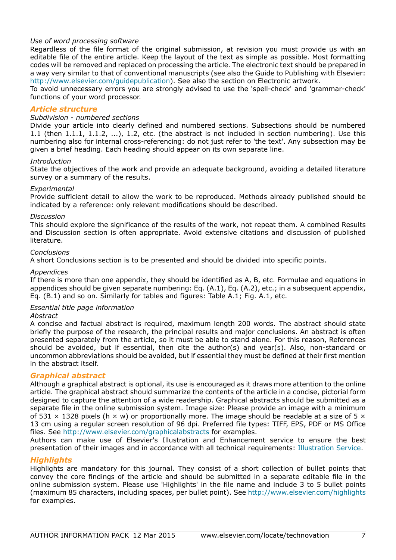#### *Use of word processing software*

Regardless of the file format of the original submission, at revision you must provide us with an editable file of the entire article. Keep the layout of the text as simple as possible. Most formatting codes will be removed and replaced on processing the article. The electronic text should be prepared in a way very similar to that of conventional manuscripts (see also the Guide to Publishing with Elsevier: http://www.elsevier.com/guidepublication). See also the section on Electronic artwork.

To avoid unnecessary errors you are strongly advised to use the 'spell-check' and 'grammar-check' functions of your word processor.

#### *Article structure*

#### *Subdivision - numbered sections*

Divide your article into clearly defined and numbered sections. Subsections should be numbered 1.1 (then 1.1.1, 1.1.2, ...), 1.2, etc. (the abstract is not included in section numbering). Use this numbering also for internal cross-referencing: do not just refer to 'the text'. Any subsection may be given a brief heading. Each heading should appear on its own separate line.

#### *Introduction*

State the objectives of the work and provide an adequate background, avoiding a detailed literature survey or a summary of the results.

#### *Experimental*

Provide sufficient detail to allow the work to be reproduced. Methods already published should be indicated by a reference: only relevant modifications should be described.

#### *Discussion*

This should explore the significance of the results of the work, not repeat them. A combined Results and Discussion section is often appropriate. Avoid extensive citations and discussion of published literature.

#### *Conclusions*

A short Conclusions section is to be presented and should be divided into specific points.

#### *Appendices*

If there is more than one appendix, they should be identified as A, B, etc. Formulae and equations in appendices should be given separate numbering: Eq. (A.1), Eq. (A.2), etc.; in a subsequent appendix, Eq. (B.1) and so on. Similarly for tables and figures: Table A.1; Fig. A.1, etc.

#### *Essential title page information*

#### *Abstract*

A concise and factual abstract is required, maximum length 200 words. The abstract should state briefly the purpose of the research, the principal results and major conclusions. An abstract is often presented separately from the article, so it must be able to stand alone. For this reason, References should be avoided, but if essential, then cite the author(s) and year(s). Also, non-standard or uncommon abbreviations should be avoided, but if essential they must be defined at their first mention in the abstract itself.

#### *Graphical abstract*

Although a graphical abstract is optional, its use is encouraged as it draws more attention to the online article. The graphical abstract should summarize the contents of the article in a concise, pictorial form designed to capture the attention of a wide readership. Graphical abstracts should be submitted as a separate file in the online submission system. Image size: Please provide an image with a minimum of 531  $\times$  1328 pixels (h  $\times$  w) or proportionally more. The image should be readable at a size of 5  $\times$ 13 cm using a regular screen resolution of 96 dpi. Preferred file types: TIFF, EPS, PDF or MS Office files. See http://www.elsevier.com/graphicalabstracts for examples.

Authors can make use of Elsevier's Illustration and Enhancement service to ensure the best presentation of their images and in accordance with all technical requirements: [Illustration Service.](http://webshop.elsevier.com/illustrationservices/ImagePolishing/gap/requestForm.cfm)

#### *Highlights*

Highlights are mandatory for this journal. They consist of a short collection of bullet points that convey the core findings of the article and should be submitted in a separate editable file in the online submission system. Please use 'Highlights' in the file name and include 3 to 5 bullet points (maximum 85 characters, including spaces, per bullet point). See http://www.elsevier.com/highlights for examples.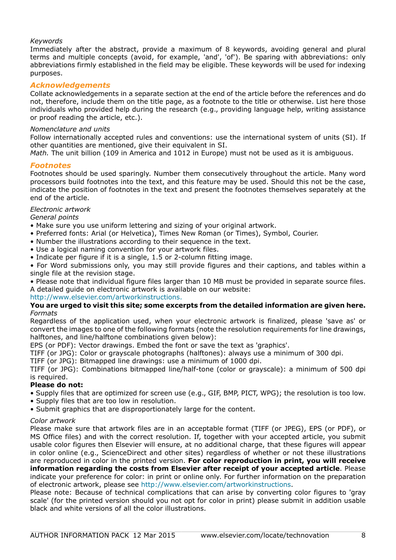# *Keywords*

Immediately after the abstract, provide a maximum of 8 keywords, avoiding general and plural terms and multiple concepts (avoid, for example, 'and', 'of'). Be sparing with abbreviations: only abbreviations firmly established in the field may be eligible. These keywords will be used for indexing purposes.

# *Acknowledgements*

Collate acknowledgements in a separate section at the end of the article before the references and do not, therefore, include them on the title page, as a footnote to the title or otherwise. List here those individuals who provided help during the research (e.g., providing language help, writing assistance or proof reading the article, etc.).

### *Nomenclature and units*

Follow internationally accepted rules and conventions: use the international system of units (SI). If other quantities are mentioned, give their equivalent in SI.

*Math.* The unit billion (109 in America and 1012 in Europe) must not be used as it is ambiguous.

# *Footnotes*

Footnotes should be used sparingly. Number them consecutively throughout the article. Many word processors build footnotes into the text, and this feature may be used. Should this not be the case, indicate the position of footnotes in the text and present the footnotes themselves separately at the end of the article.

# *Electronic artwork*

*General points*

- Make sure you use uniform lettering and sizing of your original artwork.
- Preferred fonts: Arial (or Helvetica), Times New Roman (or Times), Symbol, Courier.
- Number the illustrations according to their sequence in the text.
- Use a logical naming convention for your artwork files.
- Indicate per figure if it is a single, 1.5 or 2-column fitting image.

• For Word submissions only, you may still provide figures and their captions, and tables within a single file at the revision stage.

• Please note that individual figure files larger than 10 MB must be provided in separate source files. A detailed guide on electronic artwork is available on our website:

#### http://www.elsevier.com/artworkinstructions.

# **You are urged to visit this site; some excerpts from the detailed information are given here.** *Formats*

Regardless of the application used, when your electronic artwork is finalized, please 'save as' or convert the images to one of the following formats (note the resolution requirements for line drawings, halftones, and line/halftone combinations given below):

EPS (or PDF): Vector drawings. Embed the font or save the text as 'graphics'.

TIFF (or JPG): Color or grayscale photographs (halftones): always use a minimum of 300 dpi.

TIFF (or JPG): Bitmapped line drawings: use a minimum of 1000 dpi.

TIFF (or JPG): Combinations bitmapped line/half-tone (color or grayscale): a minimum of 500 dpi is required.

#### **Please do not:**

- Supply files that are optimized for screen use (e.g., GIF, BMP, PICT, WPG); the resolution is too low.
- Supply files that are too low in resolution.
- Submit graphics that are disproportionately large for the content.

#### *Color artwork*

Please make sure that artwork files are in an acceptable format (TIFF (or JPEG), EPS (or PDF), or MS Office files) and with the correct resolution. If, together with your accepted article, you submit usable color figures then Elsevier will ensure, at no additional charge, that these figures will appear in color online (e.g., ScienceDirect and other sites) regardless of whether or not these illustrations are reproduced in color in the printed version. **For color reproduction in print, you will receive information regarding the costs from Elsevier after receipt of your accepted article**. Please indicate your preference for color: in print or online only. For further information on the preparation of electronic artwork, please see http://www.elsevier.com/artworkinstructions.

Please note: Because of technical complications that can arise by converting color figures to 'gray scale' (for the printed version should you not opt for color in print) please submit in addition usable black and white versions of all the color illustrations.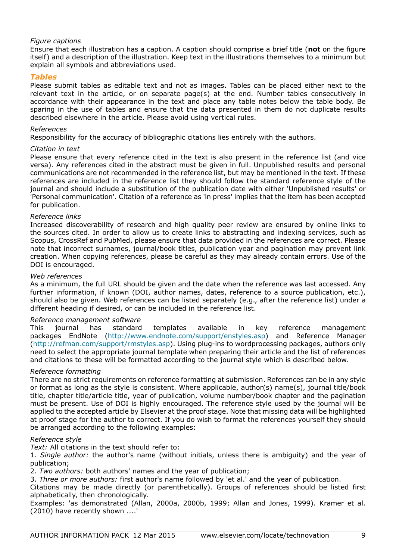# *Figure captions*

Ensure that each illustration has a caption. A caption should comprise a brief title (**not** on the figure itself) and a description of the illustration. Keep text in the illustrations themselves to a minimum but explain all symbols and abbreviations used.

### *Tables*

Please submit tables as editable text and not as images. Tables can be placed either next to the relevant text in the article, or on separate page(s) at the end. Number tables consecutively in accordance with their appearance in the text and place any table notes below the table body. Be sparing in the use of tables and ensure that the data presented in them do not duplicate results described elsewhere in the article. Please avoid using vertical rules.

#### *References*

Responsibility for the accuracy of bibliographic citations lies entirely with the authors.

#### *Citation in text*

Please ensure that every reference cited in the text is also present in the reference list (and vice versa). Any references cited in the abstract must be given in full. Unpublished results and personal communications are not recommended in the reference list, but may be mentioned in the text. If these references are included in the reference list they should follow the standard reference style of the journal and should include a substitution of the publication date with either 'Unpublished results' or 'Personal communication'. Citation of a reference as 'in press' implies that the item has been accepted for publication.

#### *Reference links*

Increased discoverability of research and high quality peer review are ensured by online links to the sources cited. In order to allow us to create links to abstracting and indexing services, such as Scopus, CrossRef and PubMed, please ensure that data provided in the references are correct. Please note that incorrect surnames, journal/book titles, publication year and pagination may prevent link creation. When copying references, please be careful as they may already contain errors. Use of the DOI is encouraged.

#### *Web references*

As a minimum, the full URL should be given and the date when the reference was last accessed. Any further information, if known (DOI, author names, dates, reference to a source publication, etc.), should also be given. Web references can be listed separately (e.g., after the reference list) under a different heading if desired, or can be included in the reference list.

#### *Reference management software*

This journal has standard templates available in key reference management packages EndNote (http://www.endnote.com/support/enstyles.asp) and Reference Manager (http://refman.com/support/rmstyles.asp). Using plug-ins to wordprocessing packages, authors only need to select the appropriate journal template when preparing their article and the list of references and citations to these will be formatted according to the journal style which is described below.

#### *Reference formatting*

There are no strict requirements on reference formatting at submission. References can be in any style or format as long as the style is consistent. Where applicable, author(s) name(s), journal title/book title, chapter title/article title, year of publication, volume number/book chapter and the pagination must be present. Use of DOI is highly encouraged. The reference style used by the journal will be applied to the accepted article by Elsevier at the proof stage. Note that missing data will be highlighted at proof stage for the author to correct. If you do wish to format the references yourself they should be arranged according to the following examples:

#### *Reference style*

*Text:* All citations in the text should refer to:

1. *Single author:* the author's name (without initials, unless there is ambiguity) and the year of publication;

2. *Two authors:* both authors' names and the year of publication;

3. *Three or more authors:* first author's name followed by 'et al.' and the year of publication.

Citations may be made directly (or parenthetically). Groups of references should be listed first alphabetically, then chronologically.

Examples: 'as demonstrated (Allan, 2000a, 2000b, 1999; Allan and Jones, 1999). Kramer et al. (2010) have recently shown ....'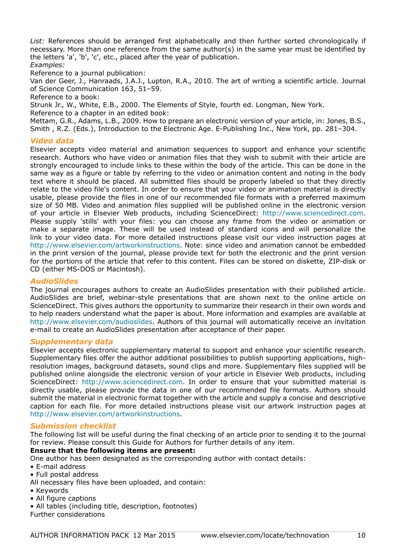*List:* References should be arranged first alphabetically and then further sorted chronologically if necessary. More than one reference from the same author(s) in the same year must be identified by the letters 'a', 'b', 'c', etc., placed after the year of publication. *Examples:*

Reference to a journal publication:

Van der Geer, J., Hanraads, J.A.J., Lupton, R.A., 2010. The art of writing a scientific article. Journal of Science Communication 163, 51–59.

Reference to a book:

Strunk Jr., W., White, E.B., 2000. The Elements of Style, fourth ed. Longman, New York.

Reference to a chapter in an edited book:

Mettam, G.R., Adams, L.B., 2009. How to prepare an electronic version of your article, in: Jones, B.S., Smith , R.Z. (Eds.), Introduction to the Electronic Age. E-Publishing Inc., New York, pp. 281–304.

# *Video data*

Elsevier accepts video material and animation sequences to support and enhance your scientific research. Authors who have video or animation files that they wish to submit with their article are strongly encouraged to include links to these within the body of the article. This can be done in the same way as a figure or table by referring to the video or animation content and noting in the body text where it should be placed. All submitted files should be properly labeled so that they directly relate to the video file's content. In order to ensure that your video or animation material is directly usable, please provide the files in one of our recommended file formats with a preferred maximum size of 50 MB. Video and animation files supplied will be published online in the electronic version of your article in Elsevier Web products, including ScienceDirect: http://www.sciencedirect.com. Please supply 'stills' with your files: you can choose any frame from the video or animation or make a separate image. These will be used instead of standard icons and will personalize the link to your video data. For more detailed instructions please visit our video instruction pages at http://www.elsevier.com/artworkinstructions. Note: since video and animation cannot be embedded in the print version of the journal, please provide text for both the electronic and the print version for the portions of the article that refer to this content. Files can be stored on diskette, ZIP-disk or CD (either MS-DOS or Macintosh).

# *AudioSlides*

The journal encourages authors to create an AudioSlides presentation with their published article. AudioSlides are brief, webinar-style presentations that are shown next to the online article on ScienceDirect. This gives authors the opportunity to summarize their research in their own words and to help readers understand what the paper is about. More information and examples are available at http://www.elsevier.com/audioslides. Authors of this journal will automatically receive an invitation e-mail to create an AudioSlides presentation after acceptance of their paper.

#### *Supplementary data*

Elsevier accepts electronic supplementary material to support and enhance your scientific research. Supplementary files offer the author additional possibilities to publish supporting applications, highresolution images, background datasets, sound clips and more. Supplementary files supplied will be published online alongside the electronic version of your article in Elsevier Web products, including ScienceDirect: http://www.sciencedirect.com. In order to ensure that your submitted material is directly usable, please provide the data in one of our recommended file formats. Authors should submit the material in electronic format together with the article and supply a concise and descriptive caption for each file. For more detailed instructions please visit our artwork instruction pages at http://www.elsevier.com/artworkinstructions.

# *Submission checklist*

The following list will be useful during the final checking of an article prior to sending it to the journal for review. Please consult this Guide for Authors for further details of any item.

# **Ensure that the following items are present:**

One author has been designated as the corresponding author with contact details:

- E-mail address
- Full postal address
- All necessary files have been uploaded, and contain:
- Keywords
- All figure captions
- All tables (including title, description, footnotes)

Further considerations